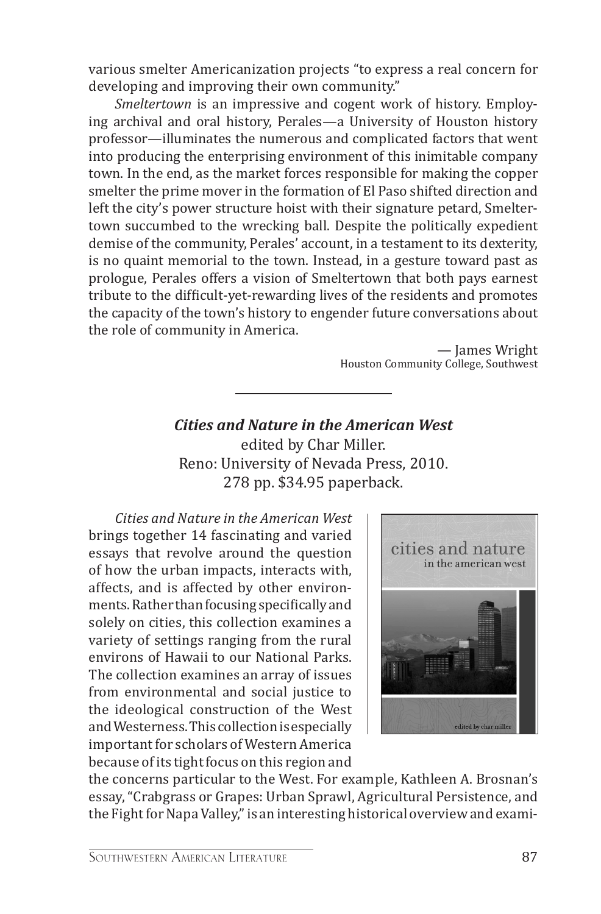various smelter Americanization projects "to express a real concern for developing and improving their own community."

*Smeltertown* is an impressive and cogent work of history. Employing archival and oral history, Perales—a University of Houston history professor—illuminates the numerous and complicated factors that went into producing the enterprising environment of this inimitable company town. In the end, as the market forces responsible for making the copper smelter the prime mover in the formation of El Paso shifted direction and left the city's power structure hoist with their signature petard, Smeltertown succumbed to the wrecking ball. Despite the politically expedient demise of the community, Perales' account, in a testament to its dexterity, is no quaint memorial to the town. Instead, in a gesture toward past as prologue, Perales offers a vision of Smeltertown that both pays earnest tribute to the difficult-yet-rewarding lives of the residents and promotes the capacity of the town's history to engender future conversations about the role of community in America.

> — James Wright Houston Community College, Southwest

*Cities and Nature in the American West* edited by Char Miller. Reno: University of Nevada Press, 2010. 278 pp. \$34.95 paperback.

*Cities and Nature in the American West* brings together 14 fascinating and varied essays that revolve around the question of how the urban impacts, interacts with, affects, and is affected by other environments. Rather than focusing specifically and solely on cities, this collection examines a variety of settings ranging from the rural environs of Hawaii to our National Parks. The collection examines an array of issues from environmental and social justice to the ideological construction of the West and Westerness. This collection is especially important for scholars of Western America because of its tight focus on this region and



the concerns particular to the West. For example, Kathleen A. Brosnan's essay, "Crabgrass or Grapes: Urban Sprawl, Agricultural Persistence, and the Fight for Napa Valley," is an interesting historical overview and exami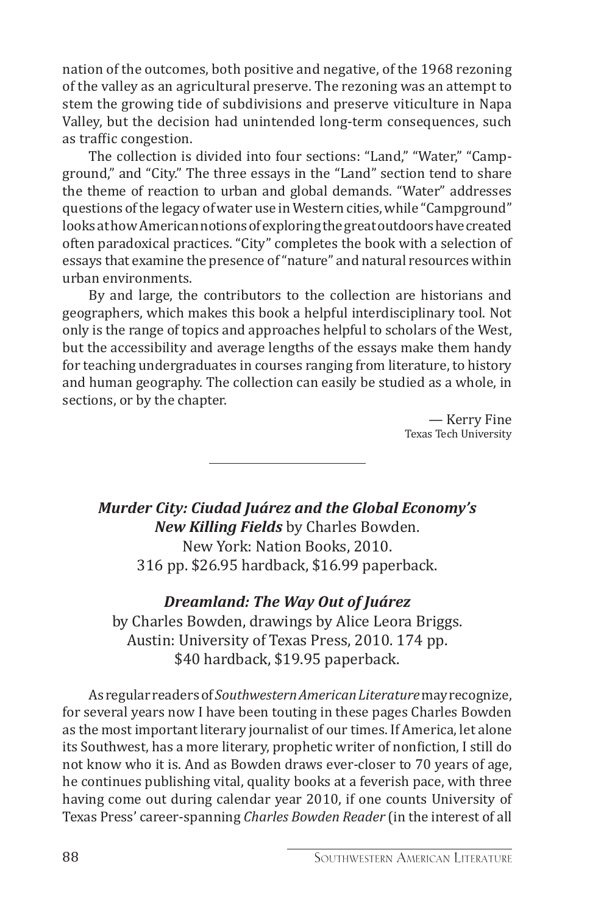nation of the outcomes, both positive and negative, of the 1968 rezoning of the valley as an agricultural preserve. The rezoning was an attempt to stem the growing tide of subdivisions and preserve viticulture in Napa Valley, but the decision had unintended long-term consequences, such as traffic congestion.

The collection is divided into four sections: "Land," "Water," "Campground," and "City." The three essays in the "Land" section tend to share the theme of reaction to urban and global demands. "Water" addresses questions of the legacy of water use in Western cities, while "Campground" looks at how American notions of exploring the great outdoors have created often paradoxical practices. "City" completes the book with a selection of essays that examine the presence of "nature" and natural resources within urban environments.

By and large, the contributors to the collection are historians and geographers, which makes this book a helpful interdisciplinary tool. Not only is the range of topics and approaches helpful to scholars of the West, but the accessibility and average lengths of the essays make them handy for teaching undergraduates in courses ranging from literature, to history and human geography. The collection can easily be studied as a whole, in sections, or by the chapter.

> — Kerry Fine Texas Tech University

*Murder City: Ciudad Juárez and the Global Economy's New Killing Fields* by Charles Bowden. New York: Nation Books, 2010. 316 pp. \$26.95 hardback, \$16.99 paperback.

## *Dreamland: The Way Out of Juárez*

by Charles Bowden, drawings by Alice Leora Briggs. Austin: University of Texas Press, 2010. 174 pp. \$40 hardback, \$19.95 paperback.

As regular readers of *Southwestern American Literature* may recognize, for several years now I have been touting in these pages Charles Bowden as the most important literary journalist of our times. If America, let alone its Southwest, has a more literary, prophetic writer of nonfiction, I still do not know who it is. And as Bowden draws ever-closer to 70 years of age, he continues publishing vital, quality books at a feverish pace, with three having come out during calendar year 2010, if one counts University of Texas Press' career-spanning *Charles Bowden Reader* (in the interest of all